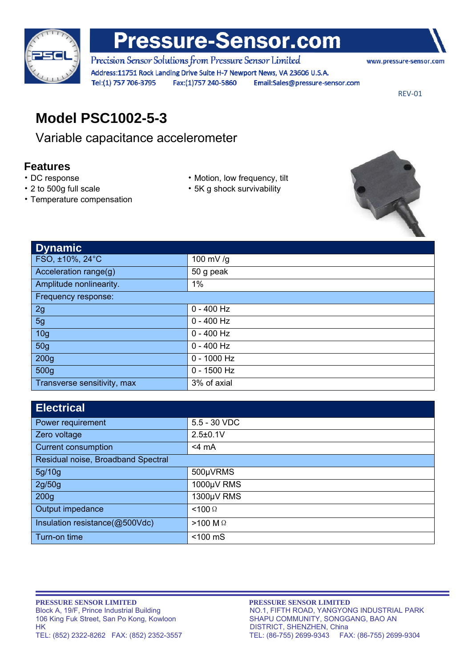

# **Pressure-Sensor.com**

Precision Sensor Solutions from Pressure Sensor Limited Address:11751 Rock Landing Drive Suite H-7 Newport News, VA 23606 U.S.A. Fax:(1)757 240-5860 Tel:(1) 757 706-3795 Email:Sales@pressure-sensor.com

www.pressure-sensor.com

REV‐01

## **Model PSC1002-5-3**

Variable capacitance accelerometer

### **Features**

- 
- 
- Temperature compensation
- DC response Motion, low frequency, tilt
- 2 to 500g full scale 5K g shock survivability



| <b>Dynamic</b>              |               |  |
|-----------------------------|---------------|--|
| FSO, ±10%, 24°C             | 100 mV/g      |  |
| Acceleration range(g)       | 50 g peak     |  |
| Amplitude nonlinearity.     | $1\%$         |  |
| Frequency response:         |               |  |
| 2g                          | $0 - 400$ Hz  |  |
| 5g                          | $0 - 400$ Hz  |  |
| 10 <sub>g</sub>             | $0 - 400$ Hz  |  |
| <b>50g</b>                  | $0 - 400$ Hz  |  |
| 200 <sub>g</sub>            | $0 - 1000$ Hz |  |
| 500g                        | $0 - 1500$ Hz |  |
| Transverse sensitivity, max | 3% of axial   |  |

| <b>Electrical</b>                  |                   |  |
|------------------------------------|-------------------|--|
| Power requirement                  | 5.5 - 30 VDC      |  |
| Zero voltage                       | $2.5 \pm 0.1$ V   |  |
| <b>Current consumption</b>         | $<$ 4 mA          |  |
| Residual noise, Broadband Spectral |                   |  |
| 5g/10g                             | 500µVRMS          |  |
| 2g/50g                             | 1000µV RMS        |  |
| 200 <sub>g</sub>                   | 1300µV RMS        |  |
| Output impedance                   | $<$ 100 $\Omega$  |  |
| Insulation resistance(@500Vdc)     | $>100$ M $\Omega$ |  |
| Turn-on time                       | $<$ 100 $ms$      |  |